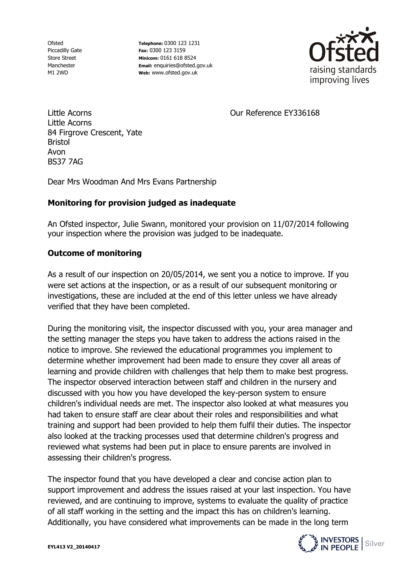Ofsted Piccadilly Gate Store Street Manchester M1 2WD

**Telephone:** 0300 123 1231 **Fax:** 0300 123 3159 **Minicom:** 0161 618 8524 **Email:** enquiries@ofsted.gov.uk **Web:** www.ofsted.gov.uk



Our Reference EY336168

Little Acorns Little Acorns 84 Firgrove Crescent, Yate Bristol Avon BS37 7AG

Dear Mrs Woodman And Mrs Evans Partnership

## **Monitoring for provision judged as inadequate**

An Ofsted inspector, Julie Swann, monitored your provision on 11/07/2014 following your inspection where the provision was judged to be inadequate.

## **Outcome of monitoring**

As a result of our inspection on 20/05/2014, we sent you a notice to improve. If you were set actions at the inspection, or as a result of our subsequent monitoring or investigations, these are included at the end of this letter unless we have already verified that they have been completed.

During the monitoring visit, the inspector discussed with you, your area manager and the setting manager the steps you have taken to address the actions raised in the notice to improve. She reviewed the educational programmes you implement to determine whether improvement had been made to ensure they cover all areas of learning and provide children with challenges that help them to make best progress. The inspector observed interaction between staff and children in the nursery and discussed with you how you have developed the key-person system to ensure children's individual needs are met. The inspector also looked at what measures you had taken to ensure staff are clear about their roles and responsibilities and what training and support had been provided to help them fulfil their duties. The inspector also looked at the tracking processes used that determine children's progress and reviewed what systems had been put in place to ensure parents are involved in assessing their children's progress.

The inspector found that you have developed a clear and concise action plan to support improvement and address the issues raised at your last inspection. You have reviewed, and are continuing to improve, systems to evaluate the quality of practice of all staff working in the setting and the impact this has on children's learning. Additionally, you have considered what improvements can be made in the long term

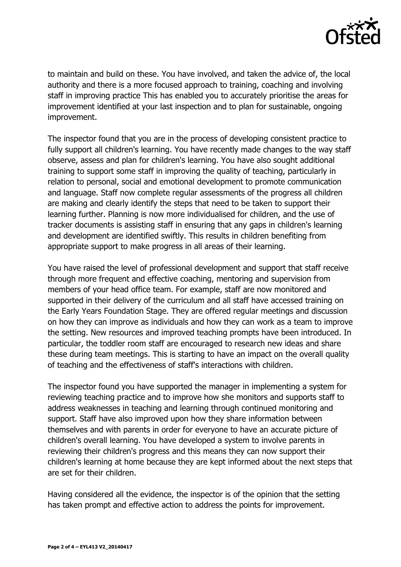

to maintain and build on these. You have involved, and taken the advice of, the local authority and there is a more focused approach to training, coaching and involving staff in improving practice This has enabled you to accurately prioritise the areas for improvement identified at your last inspection and to plan for sustainable, ongoing improvement.

The inspector found that you are in the process of developing consistent practice to fully support all children's learning. You have recently made changes to the way staff observe, assess and plan for children's learning. You have also sought additional training to support some staff in improving the quality of teaching, particularly in relation to personal, social and emotional development to promote communication and language. Staff now complete regular assessments of the progress all children are making and clearly identify the steps that need to be taken to support their learning further. Planning is now more individualised for children, and the use of tracker documents is assisting staff in ensuring that any gaps in children's learning and development are identified swiftly. This results in children benefiting from appropriate support to make progress in all areas of their learning.

You have raised the level of professional development and support that staff receive through more frequent and effective coaching, mentoring and supervision from members of your head office team. For example, staff are now monitored and supported in their delivery of the curriculum and all staff have accessed training on the Early Years Foundation Stage. They are offered regular meetings and discussion on how they can improve as individuals and how they can work as a team to improve the setting. New resources and improved teaching prompts have been introduced. In particular, the toddler room staff are encouraged to research new ideas and share these during team meetings. This is starting to have an impact on the overall quality of teaching and the effectiveness of staff's interactions with children.

The inspector found you have supported the manager in implementing a system for reviewing teaching practice and to improve how she monitors and supports staff to address weaknesses in teaching and learning through continued monitoring and support. Staff have also improved upon how they share information between themselves and with parents in order for everyone to have an accurate picture of children's overall learning. You have developed a system to involve parents in reviewing their children's progress and this means they can now support their children's learning at home because they are kept informed about the next steps that are set for their children.

Having considered all the evidence, the inspector is of the opinion that the setting has taken prompt and effective action to address the points for improvement.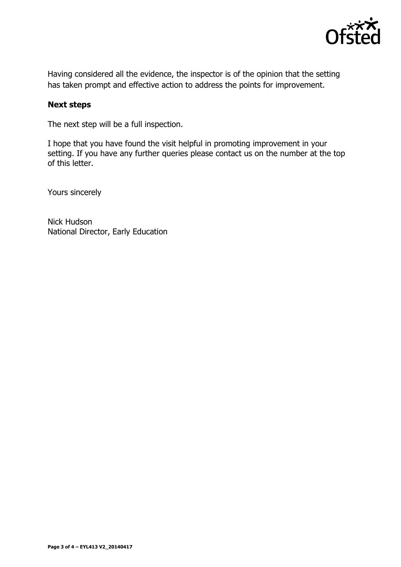

Having considered all the evidence, the inspector is of the opinion that the setting has taken prompt and effective action to address the points for improvement.

## **Next steps**

The next step will be a full inspection.

I hope that you have found the visit helpful in promoting improvement in your setting. If you have any further queries please contact us on the number at the top of this letter.

Yours sincerely

Nick Hudson National Director, Early Education